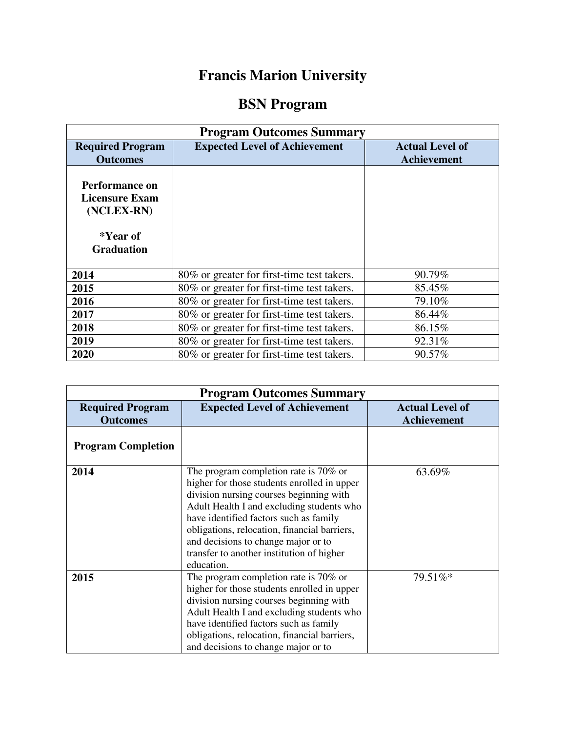## **Francis Marion University**

## **BSN Program**

| <b>Program Outcomes Summary</b>                                                        |                                            |                                              |  |
|----------------------------------------------------------------------------------------|--------------------------------------------|----------------------------------------------|--|
| <b>Required Program</b><br><b>Outcomes</b>                                             | <b>Expected Level of Achievement</b>       | <b>Actual Level of</b><br><b>Achievement</b> |  |
| Performance on<br><b>Licensure Exam</b><br>(NCLEX-RN)<br>*Year of<br><b>Graduation</b> |                                            |                                              |  |
| 2014                                                                                   | 80% or greater for first-time test takers. | 90.79%                                       |  |
| 2015                                                                                   | 80% or greater for first-time test takers. | 85.45%                                       |  |
| 2016                                                                                   | 80% or greater for first-time test takers. | 79.10%                                       |  |
| 2017                                                                                   | 80% or greater for first-time test takers. | 86.44%                                       |  |
| 2018                                                                                   | 80% or greater for first-time test takers. | 86.15%                                       |  |
| 2019                                                                                   | 80% or greater for first-time test takers. | 92.31%                                       |  |
| 2020                                                                                   | 80% or greater for first-time test takers. | 90.57%                                       |  |

| <b>Program Outcomes Summary</b>            |                                                                                                                                                                                                                                                                                                                                                                          |                                              |
|--------------------------------------------|--------------------------------------------------------------------------------------------------------------------------------------------------------------------------------------------------------------------------------------------------------------------------------------------------------------------------------------------------------------------------|----------------------------------------------|
| <b>Required Program</b><br><b>Outcomes</b> | <b>Expected Level of Achievement</b>                                                                                                                                                                                                                                                                                                                                     | <b>Actual Level of</b><br><b>Achievement</b> |
| <b>Program Completion</b>                  |                                                                                                                                                                                                                                                                                                                                                                          |                                              |
| 2014                                       | The program completion rate is 70% or<br>higher for those students enrolled in upper<br>division nursing courses beginning with<br>Adult Health I and excluding students who<br>have identified factors such as family<br>obligations, relocation, financial barriers,<br>and decisions to change major or to<br>transfer to another institution of higher<br>education. | 63.69%                                       |
| 2015                                       | The program completion rate is $70\%$ or<br>higher for those students enrolled in upper<br>division nursing courses beginning with<br>Adult Health I and excluding students who<br>have identified factors such as family<br>obligations, relocation, financial barriers,<br>and decisions to change major or to                                                         | 79.51%*                                      |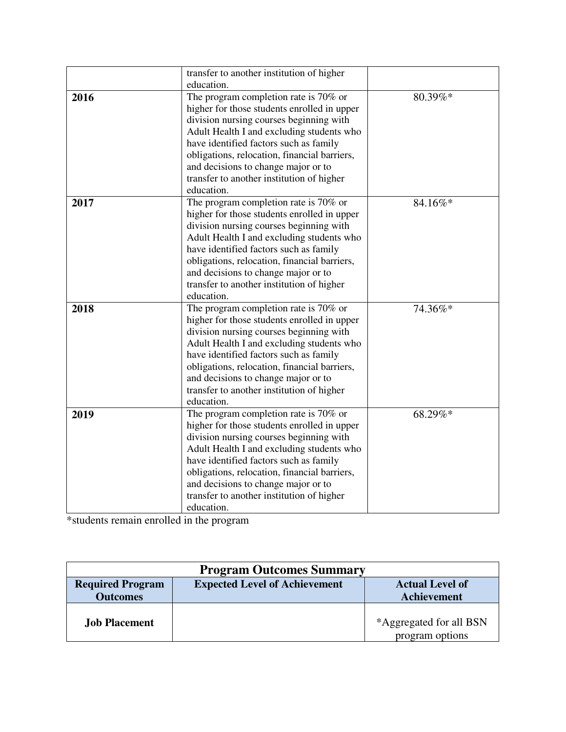|      | transfer to another institution of higher    |         |
|------|----------------------------------------------|---------|
|      | education.                                   |         |
| 2016 | The program completion rate is $70\%$ or     | 80.39%* |
|      | higher for those students enrolled in upper  |         |
|      | division nursing courses beginning with      |         |
|      | Adult Health I and excluding students who    |         |
|      | have identified factors such as family       |         |
|      | obligations, relocation, financial barriers, |         |
|      | and decisions to change major or to          |         |
|      | transfer to another institution of higher    |         |
|      | education.                                   |         |
| 2017 | The program completion rate is 70% or        | 84.16%* |
|      | higher for those students enrolled in upper  |         |
|      | division nursing courses beginning with      |         |
|      | Adult Health I and excluding students who    |         |
|      | have identified factors such as family       |         |
|      | obligations, relocation, financial barriers, |         |
|      | and decisions to change major or to          |         |
|      | transfer to another institution of higher    |         |
|      | education.                                   |         |
| 2018 | The program completion rate is 70% or        | 74.36%* |
|      | higher for those students enrolled in upper  |         |
|      | division nursing courses beginning with      |         |
|      | Adult Health I and excluding students who    |         |
|      | have identified factors such as family       |         |
|      | obligations, relocation, financial barriers, |         |
|      | and decisions to change major or to          |         |
|      | transfer to another institution of higher    |         |
|      | education.                                   |         |
| 2019 | The program completion rate is 70% or        | 68.29%* |
|      | higher for those students enrolled in upper  |         |
|      | division nursing courses beginning with      |         |
|      | Adult Health I and excluding students who    |         |
|      | have identified factors such as family       |         |
|      | obligations, relocation, financial barriers, |         |
|      | and decisions to change major or to          |         |
|      | transfer to another institution of higher    |         |
|      | education.                                   |         |

\*students remain enrolled in the program

| <b>Program Outcomes Summary</b> |                                      |                         |  |
|---------------------------------|--------------------------------------|-------------------------|--|
| <b>Required Program</b>         | <b>Expected Level of Achievement</b> | <b>Actual Level of</b>  |  |
| <b>Outcomes</b>                 |                                      | <b>Achievement</b>      |  |
|                                 |                                      |                         |  |
| <b>Job Placement</b>            |                                      | *Aggregated for all BSN |  |
|                                 |                                      | program options         |  |